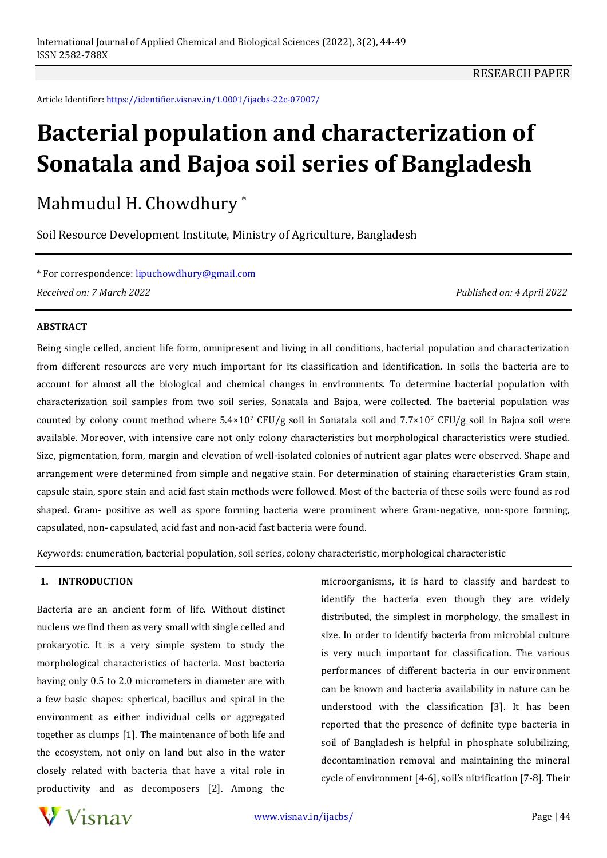Article Identifier: https://identifier.visnav.in/1.0001/ijacbs-22c-07007/

# **Bacterial population and characterization of Sonatala and Bajoa soil series of Bangladesh**

Mahmudul H. Chowdhury \*

Soil Resource Development Institute, Ministry of Agriculture, Bangladesh

\* For correspondence: lipuchowdhury@gmail.com *Received on: 7 March 2022 Published on: 4 April 2022*

### **ABSTRACT**

Being single celled, ancient life form, omnipresent and living in all conditions, bacterial population and characterization from different resources are very much important for its classification and identification. In soils the bacteria are to account for almost all the biological and chemical changes in environments. To determine bacterial population with characterization soil samples from two soil series, Sonatala and Bajoa, were collected. The bacterial population was counted by colony count method where  $5.4 \times 10^7$  CFU/g soil in Sonatala soil and  $7.7 \times 10^7$  CFU/g soil in Bajoa soil were available. Moreover, with intensive care not only colony characteristics but morphological characteristics were studied. Size, pigmentation, form, margin and elevation of well-isolated colonies of nutrient agar plates were observed. Shape and arrangement were determined from simple and negative stain. For determination of staining characteristics Gram stain, capsule stain, spore stain and acid fast stain methods were followed. Most of the bacteria of these soils were found as rod shaped. Gram- positive as well as spore forming bacteria were prominent where Gram-negative, non-spore forming, capsulated, non- capsulated, acid fast and non-acid fast bacteria were found.

Keywords: enumeration, bacterial population, soil series, colony characteristic, morphological characteristic

### **1. INTRODUCTION**

Bacteria are an ancient form of life. Without distinct nucleus we find them as very small with single celled and prokaryotic. It is a very simple system to study the morphological characteristics of bacteria. Most bacteria having only 0.5 to 2.0 micrometers in diameter are with a few basic shapes: spherical, bacillus and spiral in the environment as either individual cells or aggregated together as clumps [1]. The maintenance of both life and the ecosystem, not only on land but also in the water closely related with bacteria that have a vital role in productivity and as decomposers [2]. Among the

microorganisms, it is hard to classify and hardest to identify the bacteria even though they are widely distributed, the simplest in morphology, the smallest in size. In order to identify bacteria from microbial culture is very much important for classification. The various performances of different bacteria in our environment can be known and bacteria availability in nature can be understood with the classification [3]. It has been reported that the presence of definite type bacteria in soil of Bangladesh is helpful in phosphate solubilizing, decontamination removal and maintaining the mineral cycle of environment [4-6], soil's nitrification [7-8]. Their

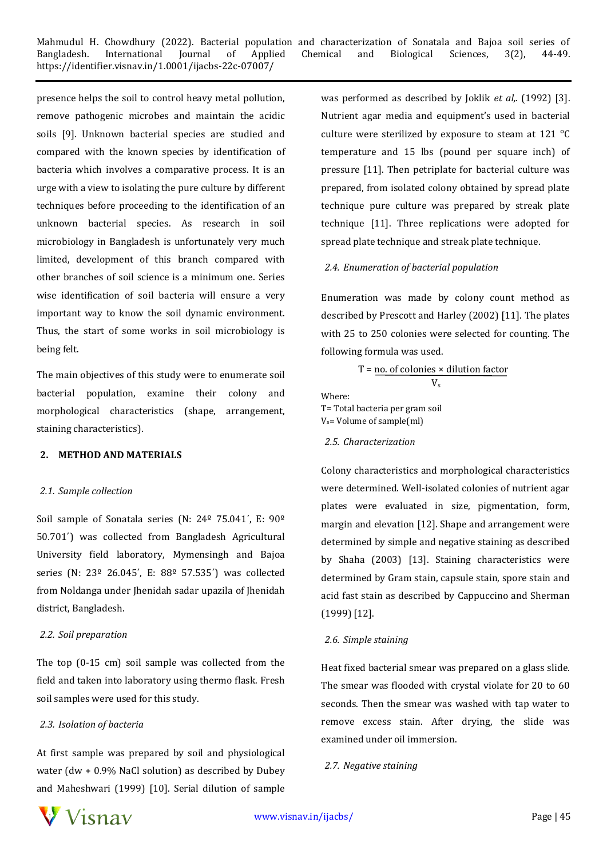presence helps the soil to control heavy metal pollution, remove pathogenic microbes and maintain the acidic soils [9]. Unknown bacterial species are studied and compared with the known species by identification of bacteria which involves a comparative process. It is an urge with a view to isolating the pure culture by different techniques before proceeding to the identification of an unknown bacterial species. As research in soil microbiology in Bangladesh is unfortunately very much limited, development of this branch compared with other branches of soil science is a minimum one. Series wise identification of soil bacteria will ensure a very important way to know the soil dynamic environment. Thus, the start of some works in soil microbiology is being felt.

The main objectives of this study were to enumerate soil bacterial population, examine their colony and morphological characteristics (shape, arrangement, staining characteristics).

# **2. METHOD AND MATERIALS**

### *2.1. Sample collection*

Soil sample of Sonatala series (N: 24º 75.041΄, E: 90º 50.701΄) was collected from Bangladesh Agricultural University field laboratory, Mymensingh and Bajoa series (N: 23º 26.045΄, E: 88º 57.535΄) was collected from Noldanga under Jhenidah sadar upazila of Jhenidah district, Bangladesh.

### *2.2. Soil preparation*

The top (0-15 cm) soil sample was collected from the field and taken into laboratory using thermo flask. Fresh soil samples were used for this study.

# *2.3. Isolation of bacteria*

At first sample was prepared by soil and physiological water (dw + 0.9% NaCl solution) as described by Dubey and Maheshwari (1999) [10]. Serial dilution of sample

was performed as described by Joklik *et al,*. (1992) [3]. Nutrient agar media and equipment's used in bacterial culture were sterilized by exposure to steam at 121 °C temperature and 15 lbs (pound per square inch) of pressure [11]. Then petriplate for bacterial culture was prepared, from isolated colony obtained by spread plate technique pure culture was prepared by streak plate technique [11]. Three replications were adopted for spread plate technique and streak plate technique.

# *2.4. Enumeration of bacterial population*

Enumeration was made by colony count method as described by Prescott and Harley (2002) [11]. The plates with 25 to 250 colonies were selected for counting. The following formula was used.

$$
T = \underline{\text{no. of colonies} \times dilution factor}}{V_s}
$$

Where: T= Total bacteria per gram soil Vs= Volume of sample(ml)

# *2.5. Characterization*

Colony characteristics and morphological characteristics were determined. Well-isolated colonies of nutrient agar plates were evaluated in size, pigmentation, form, margin and elevation [12]. Shape and arrangement were determined by simple and negative staining as described by Shaha (2003) [13]. Staining characteristics were determined by Gram stain, capsule stain, spore stain and acid fast stain as described by Cappuccino and Sherman (1999) [12].

# *2.6. Simple staining*

Heat fixed bacterial smear was prepared on a glass slide. The smear was flooded with crystal violate for 20 to 60 seconds. Then the smear was washed with tap water to remove excess stain. After drying, the slide was examined under oil immersion.

# *2.7. Negative staining*

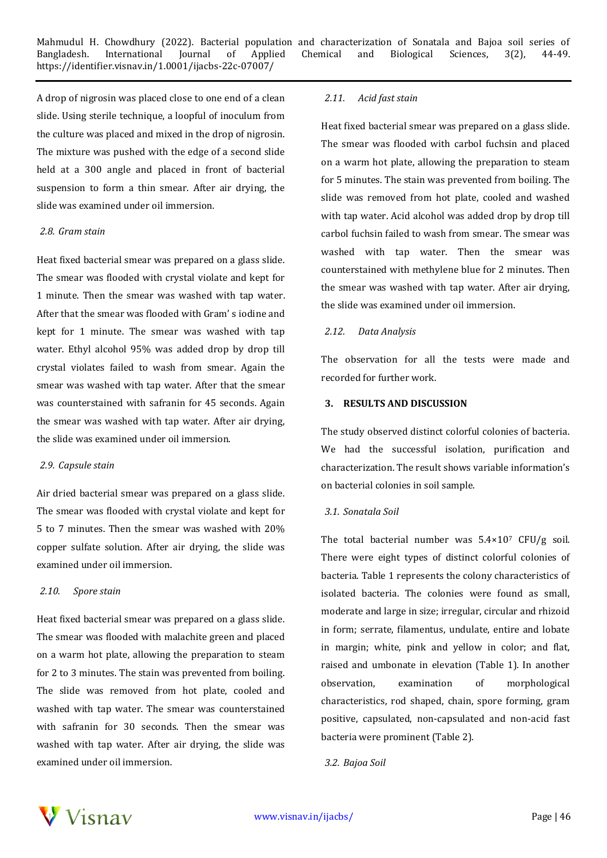A drop of nigrosin was placed close to one end of a clean slide. Using sterile technique, a loopful of inoculum from the culture was placed and mixed in the drop of nigrosin. The mixture was pushed with the edge of a second slide held at a 300 angle and placed in front of bacterial suspension to form a thin smear. After air drying, the slide was examined under oil immersion.

### *2.8. Gram stain*

Heat fixed bacterial smear was prepared on a glass slide. The smear was flooded with crystal violate and kept for 1 minute. Then the smear was washed with tap water. After that the smear was flooded with Gram' s iodine and kept for 1 minute. The smear was washed with tap water. Ethyl alcohol 95% was added drop by drop till crystal violates failed to wash from smear. Again the smear was washed with tap water. After that the smear was counterstained with safranin for 45 seconds. Again the smear was washed with tap water. After air drying, the slide was examined under oil immersion.

### *2.9. Capsule stain*

Air dried bacterial smear was prepared on a glass slide. The smear was flooded with crystal violate and kept for 5 to 7 minutes. Then the smear was washed with 20% copper sulfate solution. After air drying, the slide was examined under oil immersion.

### *2.10. Spore stain*

Heat fixed bacterial smear was prepared on a glass slide. The smear was flooded with malachite green and placed on a warm hot plate, allowing the preparation to steam for 2 to 3 minutes. The stain was prevented from boiling. The slide was removed from hot plate, cooled and washed with tap water. The smear was counterstained with safranin for 30 seconds. Then the smear was washed with tap water. After air drying, the slide was examined under oil immersion.

## *2.11. Acid fast stain*

Heat fixed bacterial smear was prepared on a glass slide. The smear was flooded with carbol fuchsin and placed on a warm hot plate, allowing the preparation to steam for 5 minutes. The stain was prevented from boiling. The slide was removed from hot plate, cooled and washed with tap water. Acid alcohol was added drop by drop till carbol fuchsin failed to wash from smear. The smear was washed with tap water. Then the smear was counterstained with methylene blue for 2 minutes. Then the smear was washed with tap water. After air drying, the slide was examined under oil immersion.

### *2.12. Data Analysis*

The observation for all the tests were made and recorded for further work.

#### **3. RESULTS AND DISCUSSION**

The study observed distinct colorful colonies of bacteria. We had the successful isolation, purification and characterization. The result shows variable information's on bacterial colonies in soil sample.

### *3.1. Sonatala Soil*

The total bacterial number was  $5.4 \times 10^7$  CFU/g soil. There were eight types of distinct colorful colonies of bacteria. Table 1 represents the colony characteristics of isolated bacteria. The colonies were found as small, moderate and large in size; irregular, circular and rhizoid in form; serrate, filamentus, undulate, entire and lobate in margin; white, pink and yellow in color; and flat, raised and umbonate in elevation (Table 1). In another observation, examination of morphological characteristics, rod shaped, chain, spore forming, gram positive, capsulated, non-capsulated and non-acid fast bacteria were prominent (Table 2).

### *3.2. Bajoa Soil*

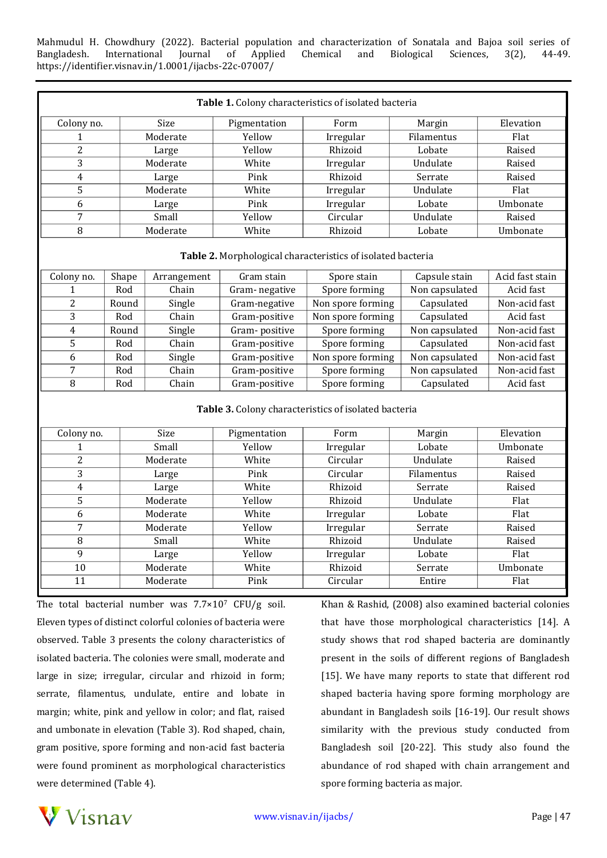Mahmudul H. Chowdhury (2022). Bacterial population and characterization of Sonatala and Bajoa soil series of Bangladesh. International Journal of Applied Chemical and Biological Sciences, 3(2), 44-49. https://identifier.visnav.in/1.0001/ijacbs-22c-07007/

| Table 1. Colony characteristics of isolated bacteria        |          |             |               |                   |                |                 |  |  |  |  |
|-------------------------------------------------------------|----------|-------------|---------------|-------------------|----------------|-----------------|--|--|--|--|
| Colony no.                                                  |          | Size        | Pigmentation  | Form              | Margin         | Elevation       |  |  |  |  |
| 1                                                           |          | Moderate    | Yellow        | Irregular         | Filamentus     | Flat            |  |  |  |  |
| $\overline{2}$                                              |          | Large       | Yellow        | Rhizoid           | Lobate         | Raised          |  |  |  |  |
| 3                                                           |          | Moderate    | White         | Irregular         | Undulate       | Raised          |  |  |  |  |
| $\overline{4}$                                              | Large    |             | Pink          | Rhizoid           | Serrate        | Raised          |  |  |  |  |
| 5                                                           | Moderate |             | White         | Irregular         | Undulate       | Flat            |  |  |  |  |
| 6                                                           | Large    |             | Pink          | Irregular         | Lobate         | Umbonate        |  |  |  |  |
| $\overline{7}$                                              |          | Small       | Yellow        | Circular          | Undulate       | Raised          |  |  |  |  |
| 8                                                           |          | Moderate    | White         | Rhizoid           | Lobate         | Umbonate        |  |  |  |  |
| Table 2. Morphological characteristics of isolated bacteria |          |             |               |                   |                |                 |  |  |  |  |
| Colony no.                                                  | Shape    | Arrangement | Gram stain    | Spore stain       | Capsule stain  | Acid fast stain |  |  |  |  |
| 1                                                           | Rod      | Chain       | Gram-negative | Spore forming     | Non capsulated | Acid fast       |  |  |  |  |
| $\overline{2}$                                              | Round    | Single      | Gram-negative | Non spore forming | Capsulated     | Non-acid fast   |  |  |  |  |
| 3                                                           | Rod      | Chain       | Gram-positive | Non spore forming | Capsulated     | Acid fast       |  |  |  |  |
| 4                                                           | Round    | Single      | Gram-positive | Spore forming     | Non capsulated | Non-acid fast   |  |  |  |  |
| 5                                                           | Rod      | Chain       | Gram-positive | Spore forming     | Capsulated     | Non-acid fast   |  |  |  |  |
| 6                                                           | Rod      | Single      | Gram-positive | Non spore forming | Non capsulated | Non-acid fast   |  |  |  |  |
| $\overline{7}$                                              | Rod      | Chain       | Gram-positive | Spore forming     | Non capsulated | Non-acid fast   |  |  |  |  |
| 8                                                           | Rod      | Chain       | Gram-positive | Spore forming     | Capsulated     | Acid fast       |  |  |  |  |
| Table 3. Colony characteristics of isolated bacteria        |          |             |               |                   |                |                 |  |  |  |  |
| Colony no.                                                  |          | Size        | Pigmentation  | Form              | Margin         | Elevation       |  |  |  |  |
| $\mathbf{1}$                                                |          | Small       | Yellow        | Irregular         | Lobate         | Umbonate        |  |  |  |  |
| $\overline{2}$                                              |          | Moderate    | White         | Circular          | Undulate       | Raised          |  |  |  |  |
| 3                                                           |          | Large       | Pink          | Circular          | Filamentus     | Raised          |  |  |  |  |
| $\overline{4}$<br>Large                                     |          |             | White         | Rhizoid           | Serrate        | Raised          |  |  |  |  |
| $\overline{5}$                                              |          | Moderate    | Yellow        | Rhizoid           | Undulate       | Flat            |  |  |  |  |
| $\overline{6}$                                              |          | Moderate    | White         | Irregular         | Lobate         | Flat            |  |  |  |  |
| 7                                                           |          | Moderate    | Yellow        | Irregular         | Serrate        | Raised          |  |  |  |  |
| 8                                                           |          | Small       | White         | Rhizoid           | Undulate       | Raised          |  |  |  |  |
| 9                                                           |          | Large       | Yellow        | Irregular         | Lobate         | Flat            |  |  |  |  |
| 10                                                          |          | Moderate    | White         | Rhizoid           | Serrate        | Umbonate        |  |  |  |  |
| 11                                                          |          | Moderate    | Pink          | Circular          | Entire         | Flat            |  |  |  |  |

The total bacterial number was  $7.7 \times 10^7$  CFU/g soil. Eleven types of distinct colorful colonies of bacteria were observed. Table 3 presents the colony characteristics of isolated bacteria. The colonies were small, moderate and large in size; irregular, circular and rhizoid in form; serrate, filamentus, undulate, entire and lobate in margin; white, pink and yellow in color; and flat, raised and umbonate in elevation (Table 3). Rod shaped, chain, gram positive, spore forming and non-acid fast bacteria were found prominent as morphological characteristics were determined (Table 4).

Khan & Rashid, (2008) also examined bacterial colonies that have those morphological characteristics [14]. A study shows that rod shaped bacteria are dominantly present in the soils of different regions of Bangladesh [15]. We have many reports to state that different rod shaped bacteria having spore forming morphology are abundant in Bangladesh soils [16-19]. Our result shows similarity with the previous study conducted from Bangladesh soil [20-22]. This study also found the abundance of rod shaped with chain arrangement and spore forming bacteria as major.

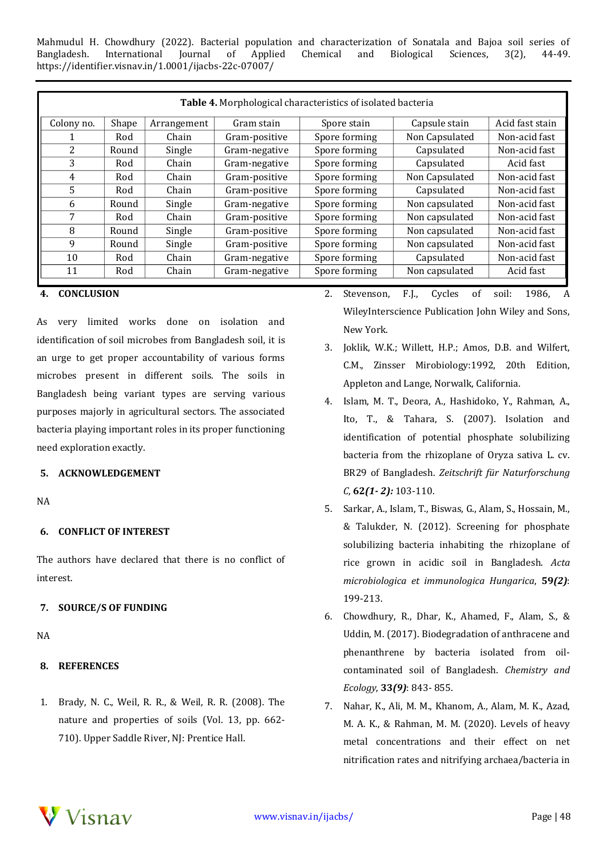Mahmudul H. Chowdhury (2022). Bacterial population and characterization of Sonatala and Bajoa soil series of Bangladesh. International Journal of Applied Chemical and Biological Sciences, 3(2), 44-49. https://identifier.visnav.in/1.0001/ijacbs-22c-07007/

|       | Table 4. Morphological characteristics of isolated bacteria |               |               |                |                 |  |  |  |  |  |  |
|-------|-------------------------------------------------------------|---------------|---------------|----------------|-----------------|--|--|--|--|--|--|
| Shape | Arrangement                                                 | Gram stain    | Spore stain   | Capsule stain  | Acid fast stain |  |  |  |  |  |  |
| Rod   | Chain                                                       | Gram-positive | Spore forming | Non Capsulated | Non-acid fast   |  |  |  |  |  |  |
| Round | Single                                                      | Gram-negative | Spore forming | Capsulated     | Non-acid fast   |  |  |  |  |  |  |
| Rod   | Chain                                                       | Gram-negative | Spore forming | Capsulated     | Acid fast       |  |  |  |  |  |  |
| Rod   | Chain                                                       | Gram-positive | Spore forming | Non Capsulated | Non-acid fast   |  |  |  |  |  |  |
| Rod   | Chain                                                       | Gram-positive | Spore forming | Capsulated     | Non-acid fast   |  |  |  |  |  |  |
| Round | Single                                                      | Gram-negative | Spore forming | Non capsulated | Non-acid fast   |  |  |  |  |  |  |
| Rod   | Chain                                                       | Gram-positive | Spore forming | Non capsulated | Non-acid fast   |  |  |  |  |  |  |
| Round | Single                                                      | Gram-positive | Spore forming | Non capsulated | Non-acid fast   |  |  |  |  |  |  |
| Round | Single                                                      | Gram-positive | Spore forming | Non capsulated | Non-acid fast   |  |  |  |  |  |  |
| Rod   | Chain                                                       | Gram-negative | Spore forming | Capsulated     | Non-acid fast   |  |  |  |  |  |  |
| Rod   | Chain                                                       | Gram-negative | Spore forming | Non capsulated | Acid fast       |  |  |  |  |  |  |
|       |                                                             |               |               |                |                 |  |  |  |  |  |  |

#### **4. CONCLUSION**

As very limited works done on isolation and identification of soil microbes from Bangladesh soil, it is an urge to get proper accountability of various forms microbes present in different soils. The soils in Bangladesh being variant types are serving various purposes majorly in agricultural sectors. The associated bacteria playing important roles in its proper functioning need exploration exactly.

# **5. ACKNOWLEDGEMENT**

NA

## **6. CONFLICT OF INTEREST**

The authors have declared that there is no conflict of interest.

### **7. SOURCE/S OF FUNDING**

NA

### **8. REFERENCES**

1. Brady, N. C., Weil, R. R., & Weil, R. R. (2008). The nature and properties of soils (Vol. 13, pp. 662- 710). Upper Saddle River, NJ: Prentice Hall.

- 2. Stevenson, F.J., Cycles of soil: 1986, A WileyInterscience Publication John Wiley and Sons, New York.
- 3. Joklik, W.K.; Willett, H.P.; Amos, D.B. and Wilfert, C.M., Zinsser Mirobiology:1992, 20th Edition, Appleton and Lange, Norwalk, California.
- 4. Islam, M. T., Deora, A., Hashidoko, Y., Rahman, A., Ito, T., & Tahara, S. (2007). Isolation and identification of potential phosphate solubilizing bacteria from the rhizoplane of Oryza sativa L. cv. BR29 of Bangladesh. *Zeitschrift für Naturforschung C*, **62***(1- 2):* 103-110.
- 5. Sarkar, A., Islam, T., Biswas, G., Alam, S., Hossain, M., & Talukder, N. (2012). Screening for phosphate solubilizing bacteria inhabiting the rhizoplane of rice grown in acidic soil in Bangladesh. *Acta microbiologica et immunologica Hungarica*, **59***(2)*: 199-213.
- 6. Chowdhury, R., Dhar, K., Ahamed, F., Alam, S., & Uddin, M. (2017). Biodegradation of anthracene and phenanthrene by bacteria isolated from oilcontaminated soil of Bangladesh. *Chemistry and Ecology*, **33***(9)*: 843- 855.
- 7. Nahar, K., Ali, M. M., Khanom, A., Alam, M. K., Azad, M. A. K., & Rahman, M. M. (2020). Levels of heavy metal concentrations and their effect on net nitrification rates and nitrifying archaea/bacteria in